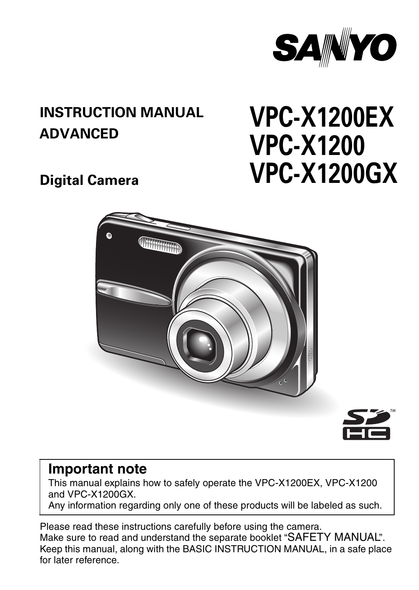

### **INSTRUCTION MANUAL ADVANCED**

# **VPC-X1200EX VPC-X1200 VPC-X1200GX**

**Digital Camera**





### **Important note**

This manual explains how to safely operate the VPC-X1200EX, VPC-X1200 and VPC-X1200GX.

Any information regarding only one of these products will be labeled as such.

Please read these instructions carefully before using the camera. Make sure to read and understand the separate booklet "SAFETY MANUAL". Keep this manual, along with the BASIC INSTRUCTION MANUAL, in a safe place for later reference.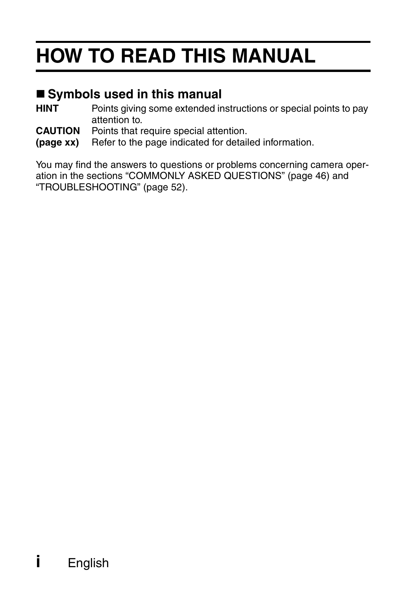# **HOW TO READ THIS MANUAL**

### **Symbols used in this manual**

- **HINT** Points giving some extended instructions or special points to pay attention to.
- **CAUTION** Points that require special attention.
- **(page xx)** Refer to the page indicated for detailed information.

You may find the answers to questions or problems concerning camera operation in the sections "COMMONLY ASKED QUESTIONS" (page 46) and "TROUBLESHOOTING" (page 52).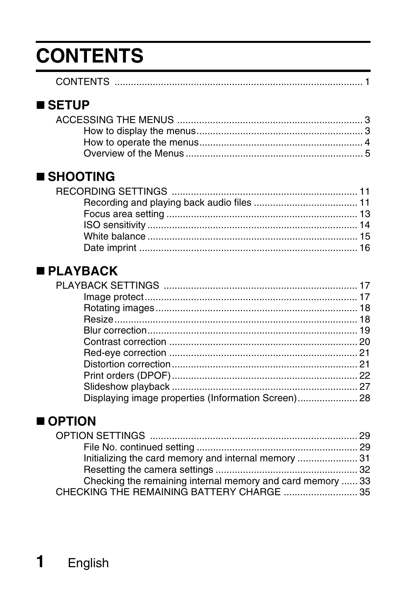## **CONTENTS**

| <b>CONTENTS</b> |  |
|-----------------|--|
|                 |  |

### **SETUP**

### **SHOOTING**

### **PLAYBACK**

### OPTION

| Checking the remaining internal memory and card memory  33 |  |
|------------------------------------------------------------|--|
|                                                            |  |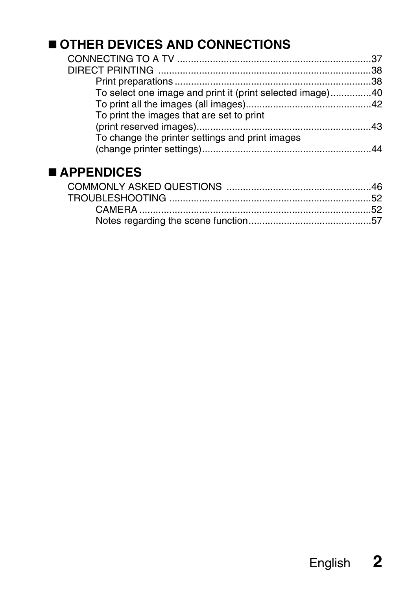### **OTHER DEVICES AND CONNECTIONS**

| To select one image and print it (print selected image)40 |  |
|-----------------------------------------------------------|--|
|                                                           |  |
| To print the images that are set to print                 |  |
|                                                           |  |
| To change the printer settings and print images           |  |
|                                                           |  |
|                                                           |  |

### **APPENDICES**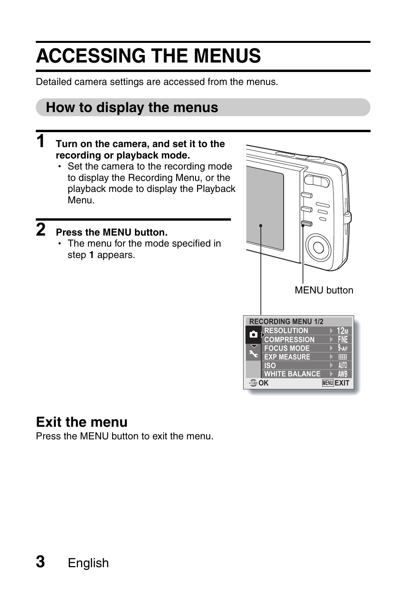## **ACCESSING THE MENUS**

Detailed camera settings are accessed from the menus.

### **How to display the menus**

### **1 Turn on the camera, and set it to the recording or playback mode.**

• Set the camera to the recording mode to display the Recording Menu, or the playback mode to display the Playback Menu.

## **2 Press the MENU button.**

• The menu for the mode specified in step **1** appears.



### **Exit the menu**

Press the MENU button to exit the menu.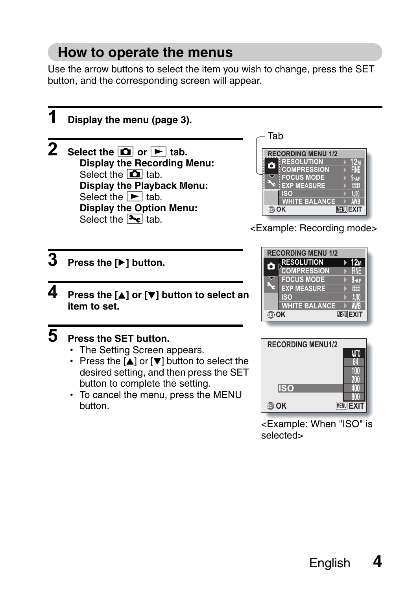### **How to operate the menus**

Use the arrow buttons to select the item you wish to change, press the SET button, and the corresponding screen will appear.



selected>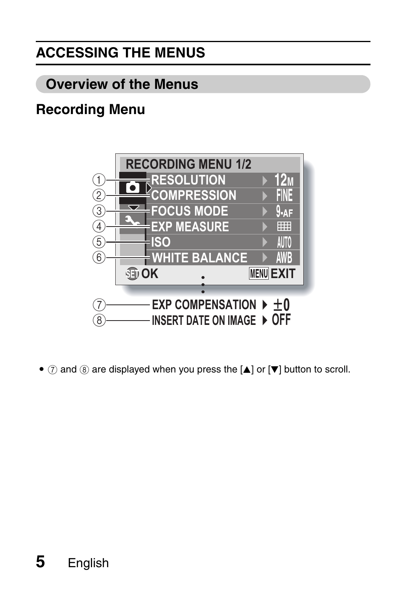## **ACCESSING THE MENUS**

### **Overview of the Menus**

### **Recording Menu**



 $\bullet$   $\bar{y}$  and  $\bar{y}$  are displayed when you press the [ $\triangle$ ] or [ $\blacktriangledown$ ] button to scroll.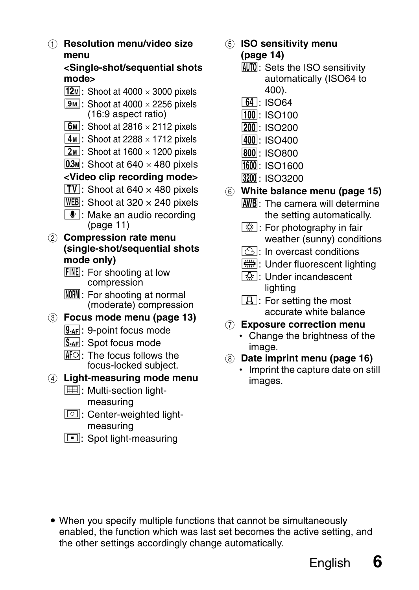1 **Resolution menu/video size menu**

#### **<Single-shot/sequential shots mode>**

- $\sqrt{12M}$ : Shoot at 4000  $\times$  3000 pixels
- $\sqrt{9M}$ : Shoot at 4000  $\times$  2256 pixels (16:9 aspect ratio)
- $\boxed{6M}$ : Shoot at 2816  $\times$  2112 pixels
- $\boxed{4M}$ : Shoot at 2288  $\times$  1712 pixels
- $\boxed{2M}$ : Shoot at 1600  $\times$  1200 pixels
- $[0.3]$ : Shoot at 640 × 480 pixels

#### **<Video clip recording mode>**

- $\overline{TV}$ : Shoot at 640 × 480 pixels
- $WEB$ : Shoot at 320  $\times$  240 pixels
- $\boxed{\Phi}$ : Make an audio recording (page 11)
- 2 **Compression rate menu (single-shot/sequential shots mode only)**
	- **FINE**: For shooting at low compression
	- **NORM**: For shooting at normal (moderate) compression
- 3 **Focus mode menu (page 13)**
	- **9-AF**: 9-point focus mode
	- S AF: Spot focus mode
	- $\overline{\text{M}}$ : The focus follows the focus-locked subject.

#### 4 **Light-measuring mode menu**

- **III:** Multi-section lightmeasuring
- $\boxed{ \boxed{ \boxed{ }} }$ : Center-weighted lightmeasuring
- $\boxed{\square}$ : Spot light-measuring
- 5 **ISO sensitivity menu (page 14)**
	- AUTO: Sets the ISO sensitivity automatically (ISO64 to 400).
	- $\boxed{64}$ : ISO64
	- $100:$  ISO100
	- 200: ISO<sub>200</sub>
	- $|400|:$  ISO400
	- $|800|:$  ISO800
	- 1600: ISO1600
	- 3200: ISO3200
- 6 **White balance menu (page 15)**
	- AWB: The camera will determine the setting automatically.
	- $\sqrt{N\overline{N}}$ : For photography in fair weather (sunny) conditions
	- $\boxed{\circlearrowright}$ : In overcast conditions
	- $F\equiv 1$ : Under fluorescent lighting
	- **R:** Under incandescent lighting
	- $\boxed{4}$ : For setting the most accurate white balance
- 7 **Exposure correction menu**
	- Change the brightness of the image.
- 8 **Date imprint menu (page 16)**
	- Imprint the capture date on still images.

• When you specify multiple functions that cannot be simultaneously enabled, the function which was last set becomes the active setting, and the other settings accordingly change automatically.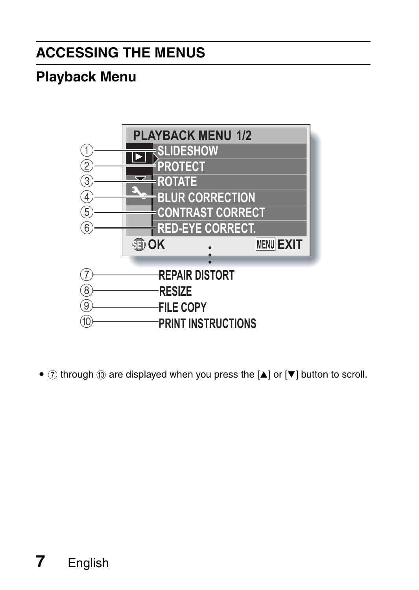### **ACCESSING THE MENUS**

### **Playback Menu**



 $\bullet$   $\bar{y}$  through  $\bar{y}$  are displayed when you press the [A] or [ $\blacktriangledown$ ] button to scroll.

## **7** English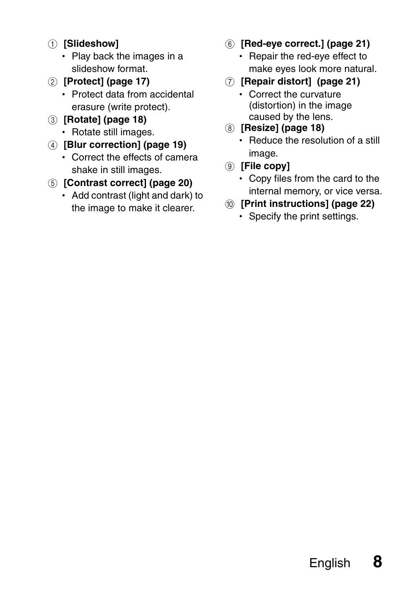- 1 **[Slideshow]**
	- Play back the images in a slideshow format.
- 2 **[Protect] (page 17)**
	- Protect data from accidental erasure (write protect).
- 3 **[Rotate] (page 18)**
	- Rotate still images.
- 4 **[Blur correction] (page 19)**
	- Correct the effects of camera shake in still images.
- 5 **[Contrast correct] (page 20)**
	- $\cdot$  Add contrast (light and dark) to the image to make it clearer.
- 6 **[Red-eye correct.] (page 21)**
	- Repair the red-eye effect to make eyes look more natural.
- 7 **[Repair distort] (page 21)**
	- Correct the curvature (distortion) in the image caused by the lens.
- 8 **[Resize] (page 18)**
	- $\cdot$  Reduce the resolution of a still image.
- 9 **[File copy]**
	- Copy files from the card to the internal memory, or vice versa.
- 0 **[Print instructions] (page 22)**
	- Specify the print settings.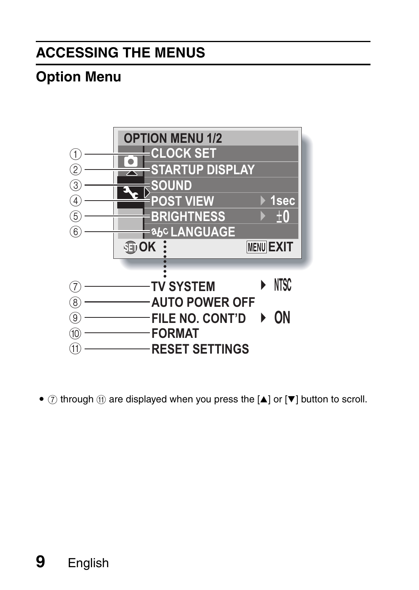### **ACCESSING THE MENUS**

### **Option Menu**



 $\bullet$   $\overline{(\tau)}$  through  $\overline{(\tau)}$  are displayed when you press the  $\boxed{\blacktriangle}$  or  $\boxed{\blacktriangledown}$  button to scroll.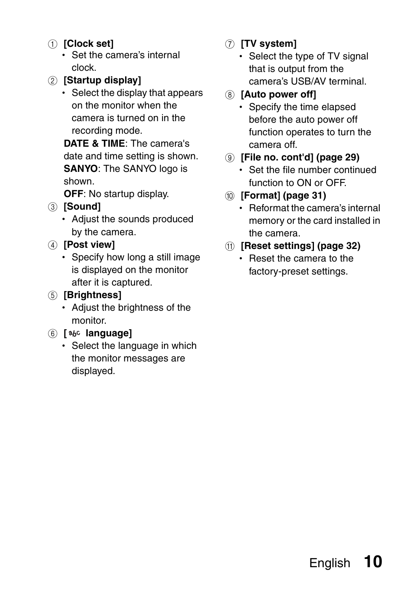- 1 **[Clock set]**
	- $\cdot$  Set the camera's internal clock.
- 2 **[Startup display]**
	- Select the display that appears on the monitor when the camera is turned on in the recording mode.

**DATE & TIME**: The camera's date and time setting is shown. **SANYO**: The SANYO logo is shown.

**OFF**: No startup display.

- 3 **[Sound]**
	- Adjust the sounds produced by the camera.
- 4 **[Post view]**
	- Specify how long a still image is displayed on the monitor after it is captured.
- 5 **[Brightness]**
	- Adjust the brightness of the monitor.
- 6 **[ language]**
	- Select the language in which the monitor messages are displayed.
- 7 **[TV system]**
	- Select the type of TV signal that is output from the camera's USB/AV terminal.
- 8 **[Auto power off]**
	- Specify the time elapsed before the auto power off function operates to turn the camera off.
- 9 **[File no. cont'd] (page 29)**
	- Set the file number continued function to ON or OFF.
- : **[Format] (page 31)**
	- Reformat the camera's internal memory or the card installed in the camera.
- A **[Reset settings] (page 32)**
	- Reset the camera to the factory-preset settings.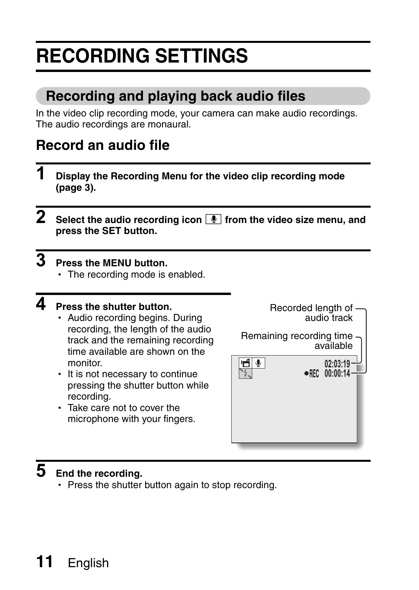## **RECORDING SETTINGS**

### **Recording and playing back audio files**

In the video clip recording mode, your camera can make audio recordings. The audio recordings are monaural.

### **Record an audio file**

- **1 Display the Recording Menu for the video clip recording mode (page 3).**
- **2** Select the audio recording icon **1** from the video size menu, and **press the SET button.**

### **3 Press the MENU button.**

 $\cdot$  The recording mode is enabled.

### **4 Press the shutter button.**

- Audio recording begins. During recording, the length of the audio track and the remaining recording time available are shown on the monitor.
- It is not necessary to continue pressing the shutter button while recording.
- $\cdot$  Take care not to cover the microphone with your fingers.



## **5 End the recording.**

• Press the shutter button again to stop recording.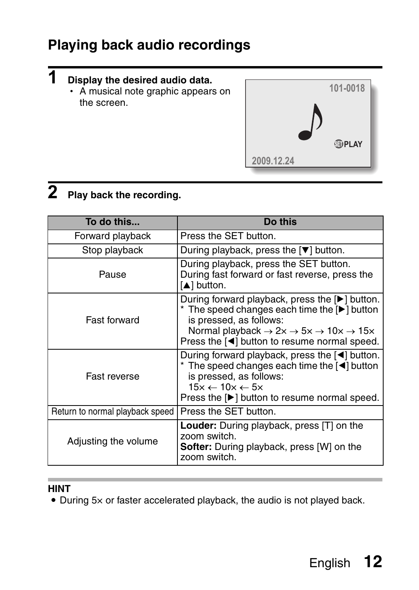### **Playing back audio recordings**

#### **Display the desired audio data.**

**1** 

• A musical note graphic appears on the screen.



## **2 Play back the recording.**

| To do this                      | Do this                                                                                                                                                                                                                                                               |
|---------------------------------|-----------------------------------------------------------------------------------------------------------------------------------------------------------------------------------------------------------------------------------------------------------------------|
| Forward playback                | Press the SET button.                                                                                                                                                                                                                                                 |
| Stop playback                   | During playback, press the $[\nabla]$ button.                                                                                                                                                                                                                         |
| Pause                           | During playback, press the SET button.<br>During fast forward or fast reverse, press the<br>[A] button.                                                                                                                                                               |
| Fast forward                    | During forward playback, press the [▶] button.<br>* The speed changes each time the [Decl] button<br>is pressed, as follows:<br>Normal playback $\rightarrow$ 2x $\rightarrow$ 5x $\rightarrow$ 10x $\rightarrow$ 15x<br>Press the [◀] button to resume normal speed. |
| Fast reverse                    | During forward playback, press the $\lceil \blacktriangleleft \rceil$ button.<br>* The speed changes each time the [<] button<br>is pressed, as follows:<br>$15x \leftarrow 10x \leftarrow 5x$<br>Press the [▶] button to resume normal speed.                        |
| Return to normal playback speed | Press the SET button.                                                                                                                                                                                                                                                 |
| Adjusting the volume            | <b>Louder:</b> During playback, press [T] on the<br>zoom switch.<br><b>Softer:</b> During playback, press [W] on the<br>zoom switch.                                                                                                                                  |

#### **HINT**

• During 5x or faster accelerated playback, the audio is not played back.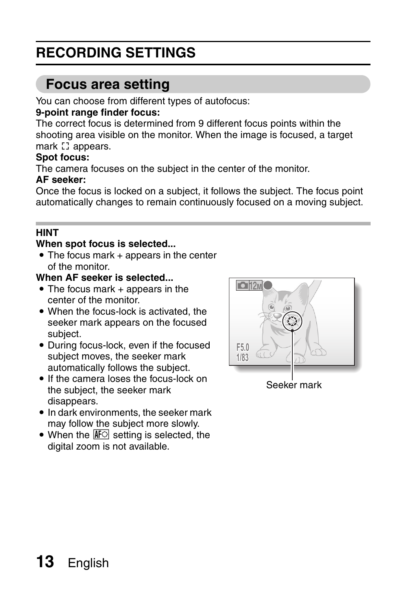### **RECORDING SETTINGS**

### **Focus area setting**

You can choose from different types of autofocus:

#### **9-point range finder focus:**

The correct focus is determined from 9 different focus points within the shooting area visible on the monitor. When the image is focused, a target mark [] appears.

#### **Spot focus:**

The camera focuses on the subject in the center of the monitor.

#### **AF seeker:**

Once the focus is locked on a subject, it follows the subject. The focus point automatically changes to remain continuously focused on a moving subject.

#### **HINT**

#### **When spot focus is selected...**

 $\bullet$  The focus mark + appears in the center of the monitor.

#### **When AF seeker is selected...**

- $\bullet$  The focus mark  $+$  appears in the center of the monitor.
- When the focus-lock is activated, the seeker mark appears on the focused subject.
- During focus-lock, even if the focused subject moves, the seeker mark automatically follows the subject.
- If the camera loses the focus-lock on the subject, the seeker mark disappears.
- In dark environments, the seeker mark may follow the subject more slowly.
- $\bullet$  When the  $\mathbb{N}$  setting is selected, the digital zoom is not available.



Seeker mark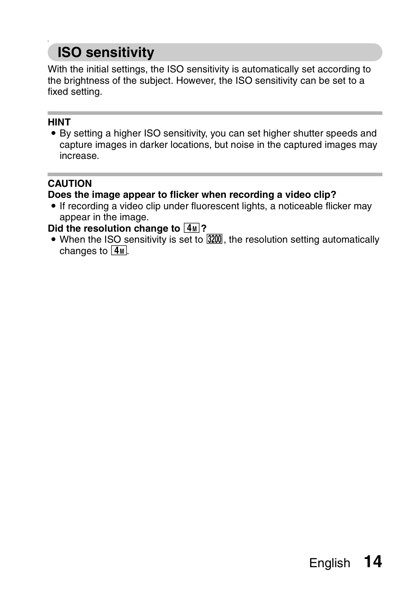### **ISO sensitivity**

With the initial settings, the ISO sensitivity is automatically set according to the brightness of the subject. However, the ISO sensitivity can be set to a fixed setting.

#### **HINT**

• By setting a higher ISO sensitivity, you can set higher shutter speeds and capture images in darker locations, but noise in the captured images may increase.

#### **CAUTION**

#### **Does the image appear to flicker when recording a video clip?**

• If recording a video clip under fluorescent lights, a noticeable flicker may appear in the image.

#### Did the resolution change to  $\boxed{4M}$ ?

 $\bullet$  When the ISO sensitivity is set to  $3200$ , the resolution setting automatically changes to  $\boxed{4M}$ .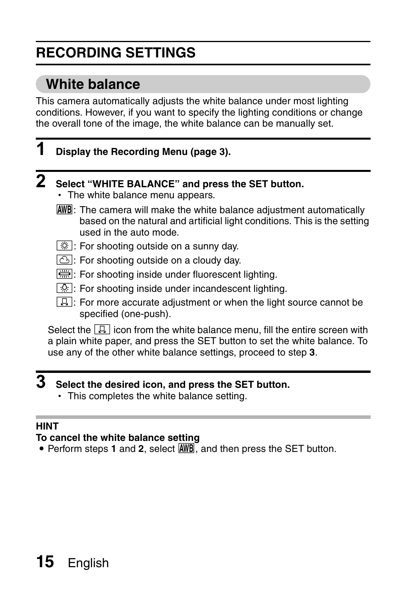### **RECORDING SETTINGS**

### **White balance**

This camera automatically adjusts the white balance under most lighting conditions. However, if you want to specify the lighting conditions or change the overall tone of the image, the white balance can be manually set.

### **1 Display the Recording Menu (page 3).**

## **2 Select "WHITE BALANCE" and press the SET button.**

- The white balance menu appears.
- AWB: The camera will make the white balance adjustment automatically based on the natural and artificial light conditions. This is the setting used in the auto mode.
- For shooting outside on a sunny day.
- $\boxed{\circlearrowright}$ : For shooting outside on a cloudy day.
- $\frac{p}{p+q}$ : For shooting inside under fluorescent lighting.
- $\sqrt{2}$ : For shooting inside under incandescent lighting.
- $\boxed{1}$ : For more accurate adjustment or when the light source cannot be specified (one-push).

Select the  $\Box$  icon from the white balance menu, fill the entire screen with a plain white paper, and press the SET button to set the white balance. To use any of the other white balance settings, proceed to step **3**.

### **3 Select the desired icon, and press the SET button.**

• This completes the white balance setting.

#### **HINT**

#### **To cancel the white balance setting**

• Perform steps 1 and 2, select **AWB**, and then press the SET button.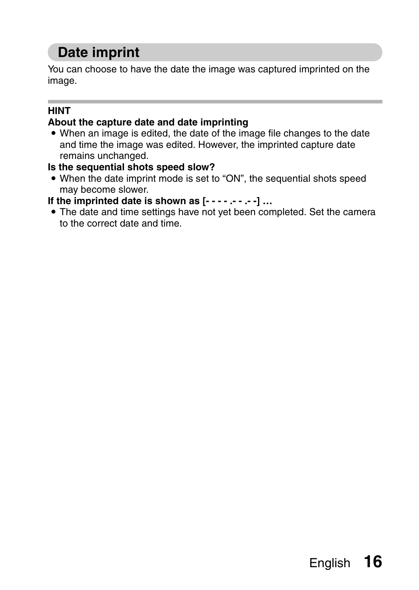### **Date imprint**

You can choose to have the date the image was captured imprinted on the image.

#### **HINT**

#### **About the capture date and date imprinting**

• When an image is edited, the date of the image file changes to the date and time the image was edited. However, the imprinted capture date remains unchanged.

#### **Is the sequential shots speed slow?**

• When the date imprint mode is set to "ON", the sequential shots speed may become slower.

**If the imprinted date is shown as [- - - - .- - .- -] …**

• The date and time settings have not yet been completed. Set the camera to the correct date and time.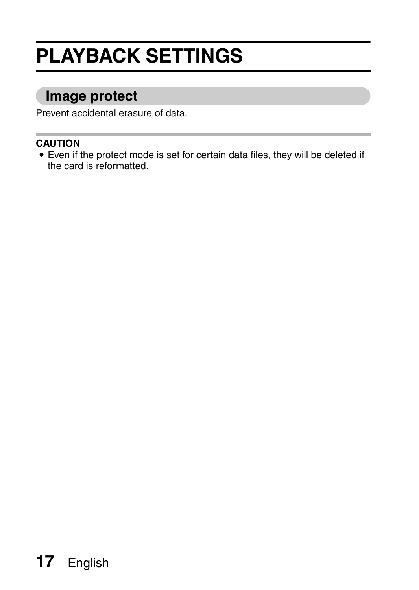## **PLAYBACK SETTINGS**

### **Image protect**

Prevent accidental erasure of data.

#### **CAUTION**

• Even if the protect mode is set for certain data files, they will be deleted if the card is reformatted.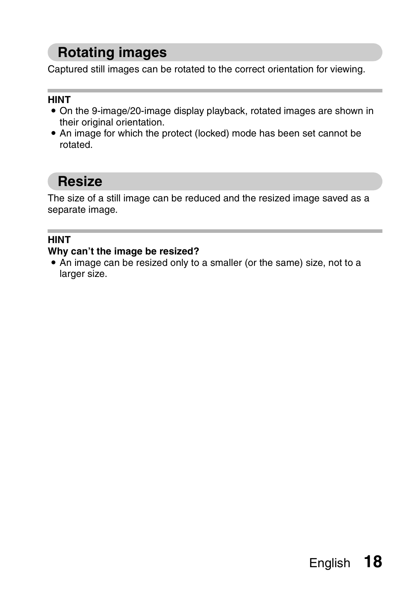### **Rotating images**

Captured still images can be rotated to the correct orientation for viewing.

#### **HINT**

- On the 9-image/20-image display playback, rotated images are shown in their original orientation.
- An image for which the protect (locked) mode has been set cannot be **rotated**

### **Resize**

The size of a still image can be reduced and the resized image saved as a separate image.

#### **HINT**

#### **Why can't the image be resized?**

• An image can be resized only to a smaller (or the same) size, not to a larger size.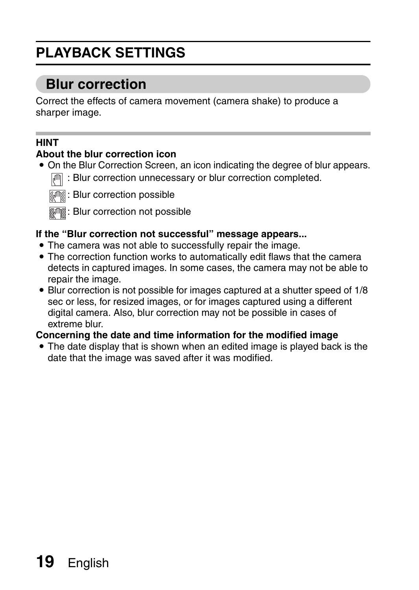## **PLAYBACK SETTINGS**

### **Blur correction**

Correct the effects of camera movement (camera shake) to produce a sharper image.

#### **HINT**

#### **About the blur correction icon**

- On the Blur Correction Screen, an icon indicating the degree of blur appears.
	- **:** Blur correction unnecessary or blur correction completed.



: Blur correction possible

**MANEX**: Blur correction not possible

#### **If the "Blur correction not successful" message appears...**

- The camera was not able to successfully repair the image.
- The correction function works to automatically edit flaws that the camera detects in captured images. In some cases, the camera may not be able to repair the image.
- Blur correction is not possible for images captured at a shutter speed of 1/8 sec or less, for resized images, or for images captured using a different digital camera. Also, blur correction may not be possible in cases of extreme blur.

#### **Concerning the date and time information for the modified image**

• The date display that is shown when an edited image is played back is the date that the image was saved after it was modified.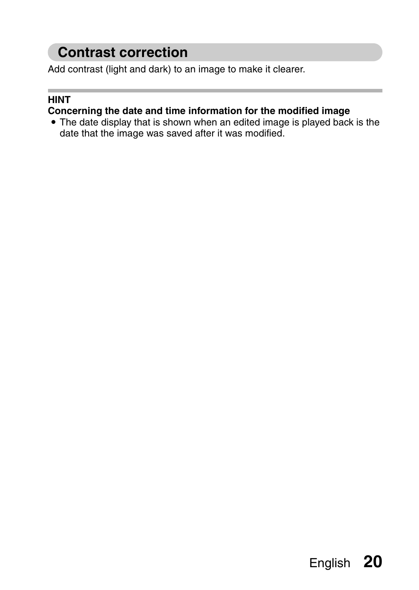### **Contrast correction**

Add contrast (light and dark) to an image to make it clearer.

#### **HINT**

#### **Concerning the date and time information for the modified image**

• The date display that is shown when an edited image is played back is the date that the image was saved after it was modified.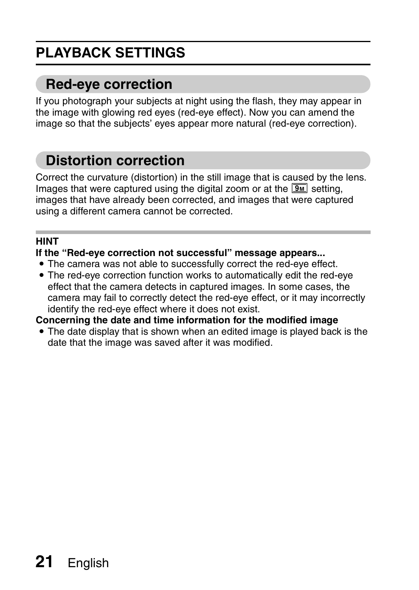## **PLAYBACK SETTINGS**

### **Red-eye correction**

If you photograph your subjects at night using the flash, they may appear in the image with glowing red eyes (red-eye effect). Now you can amend the image so that the subjects' eyes appear more natural (red-eye correction).

### **Distortion correction**

Correct the curvature (distortion) in the still image that is caused by the lens. Images that were captured using the digital zoom or at the  $\boxed{9M}$  setting, images that have already been corrected, and images that were captured using a different camera cannot be corrected.

#### **HINT**

#### **If the "Red-eye correction not successful" message appears...**

- The camera was not able to successfully correct the red-eye effect.
- The red-eye correction function works to automatically edit the red-eye effect that the camera detects in captured images. In some cases, the camera may fail to correctly detect the red-eye effect, or it may incorrectly identify the red-eye effect where it does not exist.

**Concerning the date and time information for the modified image**

• The date display that is shown when an edited image is played back is the date that the image was saved after it was modified.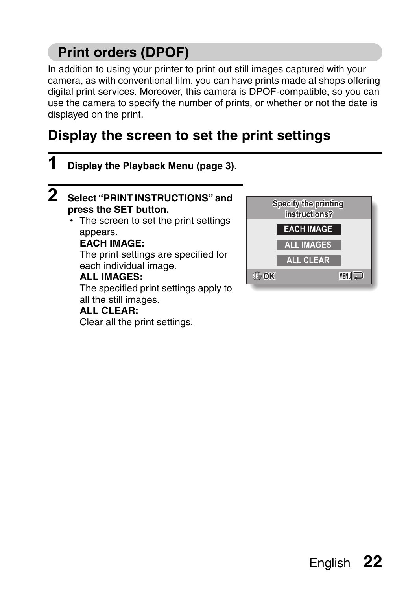### **Print orders (DPOF)**

In addition to using your printer to print out still images captured with your camera, as with conventional film, you can have prints made at shops offering digital print services. Moreover, this camera is DPOF-compatible, so you can use the camera to specify the number of prints, or whether or not the date is displayed on the print.

### **Display the screen to set the print settings**

**1 Display the Playback Menu (page 3). 2 Select "PRINT INSTRUCTIONS" and Specify the printing press the SET button. instructions?** • The screen to set the print settings **EACH IMAGE** appears. **EACH IMAGE: ALL IMAGES** The print settings are specified for **ALL CLEAR** each individual image. **OK** MENU<sup>J</sup> **ALL IMAGES:** The specified print settings apply to all the still images. **ALL CLEAR:**

Clear all the print settings.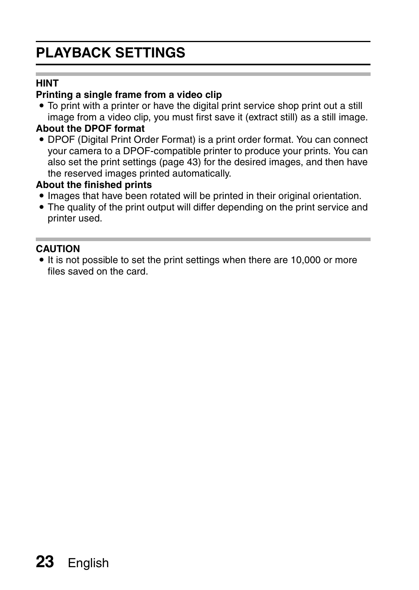### **PLAYBACK SETTINGS**

#### **HINT**

#### **Printing a single frame from a video clip**

• To print with a printer or have the digital print service shop print out a still image from a video clip, you must first save it (extract still) as a still image.

#### **About the DPOF format**

• DPOF (Digital Print Order Format) is a print order format. You can connect your camera to a DPOF-compatible printer to produce your prints. You can also set the print settings (page 43) for the desired images, and then have the reserved images printed automatically.

#### **About the finished prints**

- Images that have been rotated will be printed in their original orientation.
- The quality of the print output will differ depending on the print service and printer used.

#### **CAUTION**

• It is not possible to set the print settings when there are 10,000 or more files saved on the card.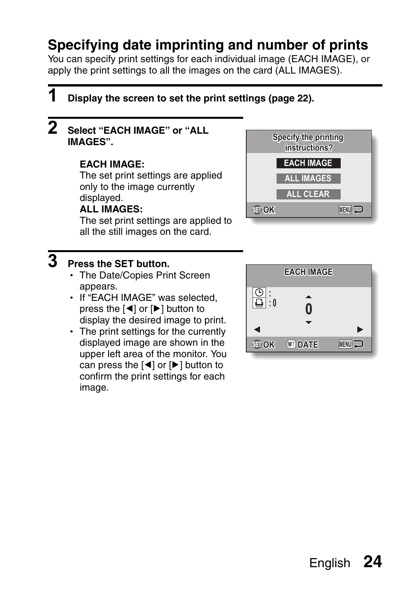### **Specifying date imprinting and number of prints**

You can specify print settings for each individual image (EACH IMAGE), or apply the print settings to all the images on the card (ALL IMAGES).

### **1 Display the screen to set the print settings (page 22).**

### **2 Select "EACH IMAGE" or "ALL** Specify the printing **PRODUCED IMAGES".**

#### **EACH IMAGE:**

The set print settings are applied only to the image currently displayed.

#### **ALL IMAGES:**

The set print settings are applied to all the still images on the card.

#### **3 Press the SET button.**

- The Date/Copies Print Screen appears.
- If "EACH IMAGE" was selected, press the  $\lceil \blacktriangleleft \rceil$  or  $\lceil \blacktriangleright \rceil$  button to display the desired image to print.
- The print settings for the currently displayed image are shown in the upper left area of the monitor. You can press the  $\lceil \blacktriangleleft \rceil$  or  $\lceil \blacktriangleright \rceil$  button to confirm the print settings for each image.



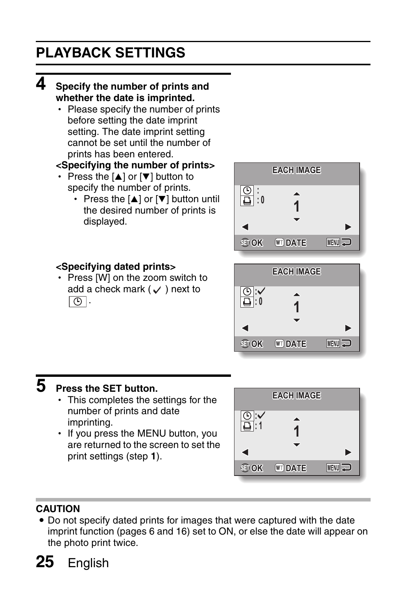### **PLAYBACK SETTINGS**

#### **4 Specify the number of prints and whether the date is imprinted.**

• Please specify the number of prints before setting the date imprint setting. The date imprint setting cannot be set until the number of prints has been entered.

#### **<Specifying the number of prints>**

- Press the  $[n]$  or  $[\nabla]$  button to specify the number of prints.
	- Press the  $[4]$  or  $[\nabla]$  button until the desired number of prints is displayed.



#### **<Specifying dated prints>**

• Press [W] on the zoom switch to add a check mark ( $\checkmark$ ) next to  $\Theta$ .



### **5 Press the SET button.**

- $\cdot$  This completes the settings for the number of prints and date imprinting.
- If you press the MENU button, you are returned to the screen to set the print settings (step **1**).



#### **CAUTION**

• Do not specify dated prints for images that were captured with the date imprint function (pages 6 and 16) set to ON, or else the date will appear on the photo print twice.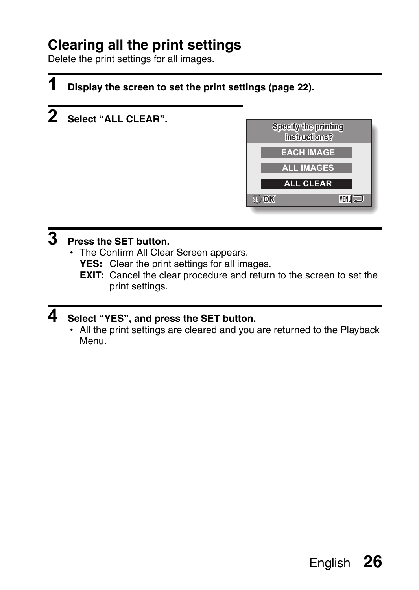### **Clearing all the print settings**

Delete the print settings for all images.

### **1 Display the screen to set the print settings (page 22).**

**2 Select "ALL CLEAR".**



### **3 Press the SET button.**

- The Confirm All Clear Screen appears.
	- **YES:** Clear the print settings for all images.
	- **EXIT:** Cancel the clear procedure and return to the screen to set the print settings.

### **4 Select "YES", and press the SET button.**

• All the print settings are cleared and you are returned to the Playback Menu.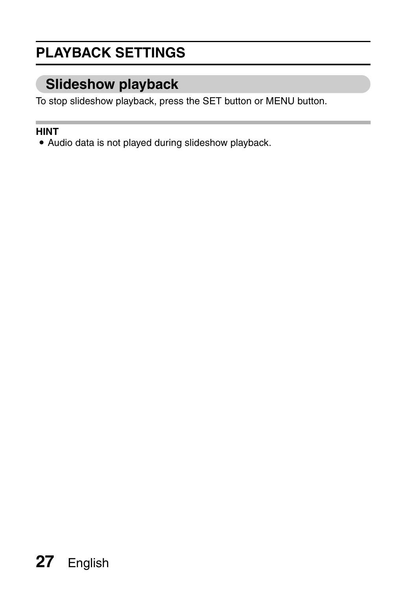### **PLAYBACK SETTINGS**

### **Slideshow playback**

To stop slideshow playback, press the SET button or MENU button.

#### **HINT**

• Audio data is not played during slideshow playback.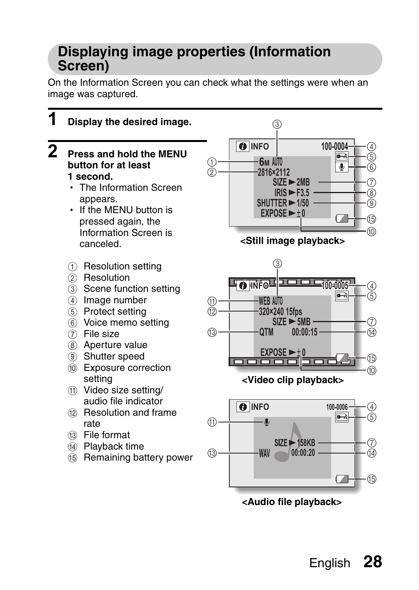### **Displaying image properties (Information Screen)**

On the Information Screen you can check what the settings were when an image was captured.

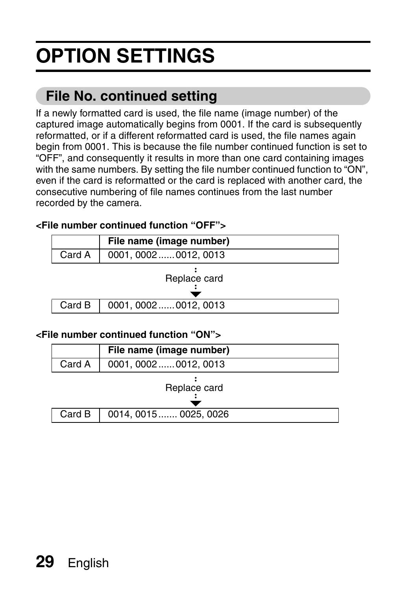# **OPTION SETTINGS**

### **File No. continued setting**

If a newly formatted card is used, the file name (image number) of the captured image automatically begins from 0001. If the card is subsequently reformatted, or if a different reformatted card is used, the file names again begin from 0001. This is because the file number continued function is set to "OFF", and consequently it results in more than one card containing images with the same numbers. By setting the file number continued function to "ON", even if the card is reformatted or the card is replaced with another card, the consecutive numbering of file names continues from the last number recorded by the camera.

#### **<File number continued function "OFF">**

|              | File name (image number) |  |
|--------------|--------------------------|--|
| Card A       | 0001, 00020012, 0013     |  |
| Replace card |                          |  |
| Card B       | 0001, 00020012, 0013     |  |

#### **<File number continued function "ON">**

|                  | File name (image number) |  |
|------------------|--------------------------|--|
| Card A           | 0001, 00020012, 0013     |  |
| Replace card     |                          |  |
| Card $\mathsf B$ | 0014, 0015  0025, 0026   |  |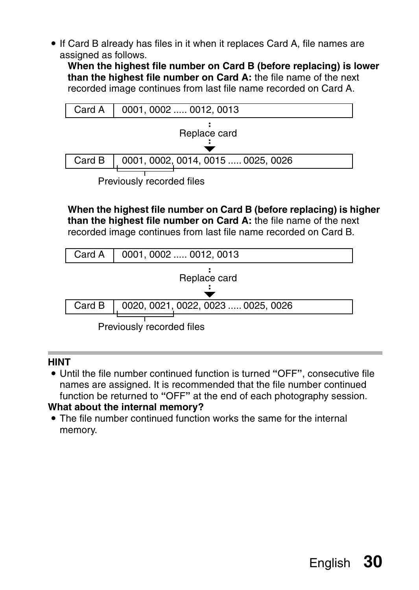• If Card B already has files in it when it replaces Card A, file names are assigned as follows.

**When the highest file number on Card B (before replacing) is lower than the highest file number on Card A:** the file name of the next recorded image continues from last file name recorded on Card A.



**When the highest file number on Card B (before replacing) is higher than the highest file number on Card A:** the file name of the next recorded image continues from last file name recorded on Card B.



Previously recorded files

#### **HINT**

i Until the file number continued function is turned **"**OFF**"**, consecutive file names are assigned. It is recommended that the file number continued function be returned to **"**OFF**"** at the end of each photography session.

#### **What about the internal memory?**

 $\bullet$  The file number continued function works the same for the internal memory.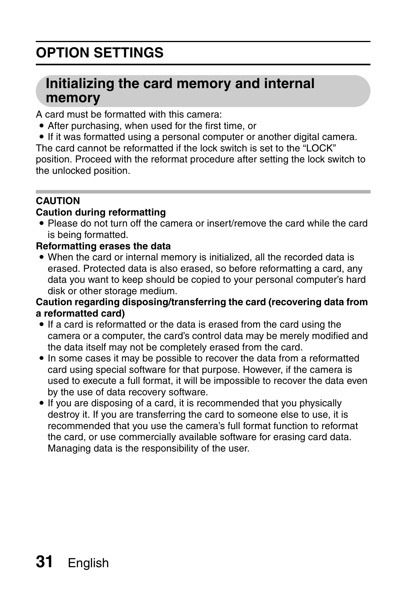## **OPTION SETTINGS**

### **Initializing the card memory and internal memory**

A card must be formatted with this camera:

- After purchasing, when used for the first time, or
- If it was formatted using a personal computer or another digital camera.

The card cannot be reformatted if the lock switch is set to the "LOCK" position. Proceed with the reformat procedure after setting the lock switch to the unlocked position.

#### **CAUTION**

#### **Caution during reformatting**

• Please do not turn off the camera or insert/remove the card while the card is being formatted.

#### **Reformatting erases the data**

• When the card or internal memory is initialized, all the recorded data is erased. Protected data is also erased, so before reformatting a card, any data you want to keep should be copied to your personal computer's hard disk or other storage medium.

#### **Caution regarding disposing/transferring the card (recovering data from a reformatted card)**

- If a card is reformatted or the data is erased from the card using the camera or a computer, the card's control data may be merely modified and the data itself may not be completely erased from the card.
- $\bullet$  In some cases it may be possible to recover the data from a reformatted card using special software for that purpose. However, if the camera is used to execute a full format, it will be impossible to recover the data even by the use of data recovery software.
- If you are disposing of a card, it is recommended that you physically destroy it. If you are transferring the card to someone else to use, it is recommended that you use the camera's full format function to reformat the card, or use commercially available software for erasing card data. Managing data is the responsibility of the user.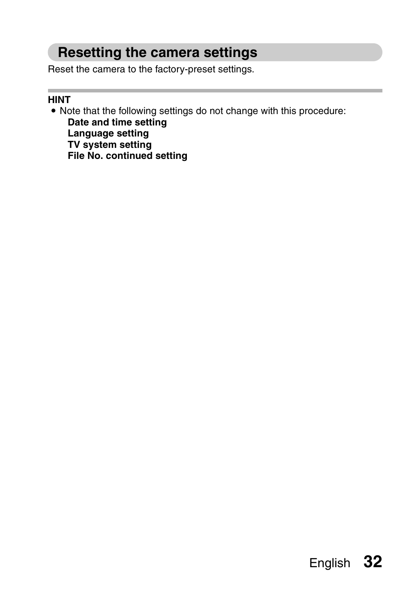### **Resetting the camera settings**

Reset the camera to the factory-preset settings.

#### **HINT**

• Note that the following settings do not change with this procedure: **Date and time setting Language setting TV system setting**

**File No. continued setting**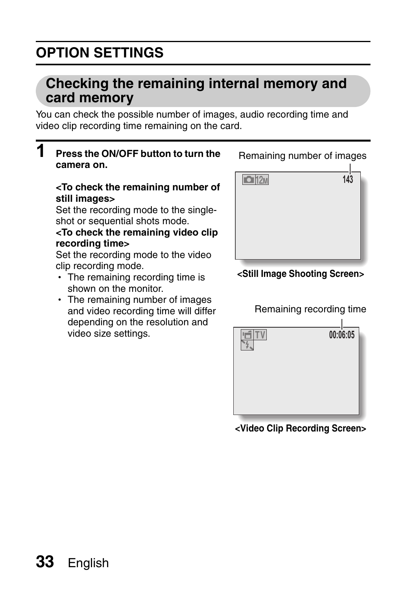## **OPTION SETTINGS**

### **Checking the remaining internal memory and card memory**

You can check the possible number of images, audio recording time and video clip recording time remaining on the card.

#### **1 Press the ON/OFF button to turn the camera on.**

#### **<To check the remaining number of still images>**

Set the recording mode to the singleshot or sequential shots mode.

#### **<To check the remaining video clip recording time>**

Set the recording mode to the video clip recording mode.

- The remaining recording time is shown on the monitor.
- The remaining number of images and video recording time will differ depending on the resolution and video size settings.

 $\Box$ 12M **143**

**<Still Image Shooting Screen>**

Remaining recording time



**<Video Clip Recording Screen>**

Remaining number of images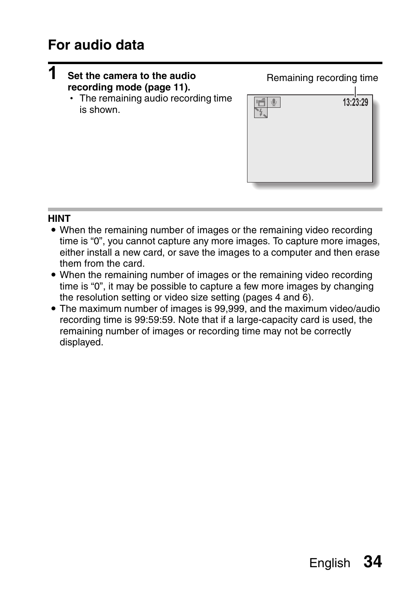### **For audio data**



#### **HINT**

- When the remaining number of images or the remaining video recording time is "0", you cannot capture any more images. To capture more images, either install a new card, or save the images to a computer and then erase them from the card.
- When the remaining number of images or the remaining video recording time is "0", it may be possible to capture a few more images by changing the resolution setting or video size setting (pages 4 and 6).
- The maximum number of images is 99,999, and the maximum video/audio recording time is 99:59:59. Note that if a large-capacity card is used, the remaining number of images or recording time may not be correctly displayed.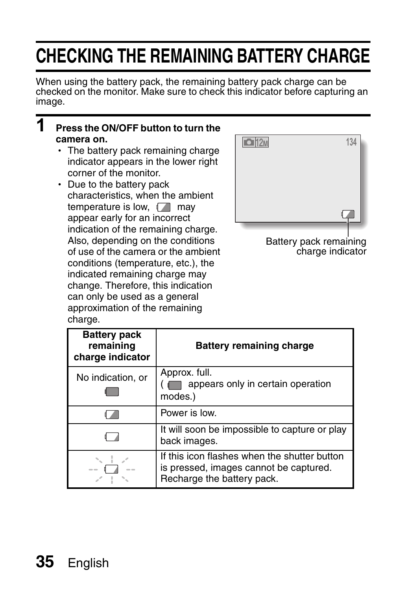## **CHECKING THE REMAINING BATTERY CHARGE**

When using the battery pack, the remaining battery pack charge can be checked on the monitor. Make sure to check this indicator before capturing an image.

#### **1 Press the ON/OFF button to turn the camera on.**

- $\cdot$  The battery pack remaining charge indicator appears in the lower right corner of the monitor.
- Due to the battery pack characteristics, when the ambient temperature is low,  $\sqrt{m}$  may appear early for an incorrect indication of the remaining charge. Also, depending on the conditions of use of the camera or the ambient conditions (temperature, etc.), the indicated remaining charge may change. Therefore, this indication can only be used as a general approximation of the remaining charge.



Battery pack remaining charge indicator

| <b>Battery pack</b><br>remaining<br>charge indicator | <b>Battery remaining charge</b>                                                                                      |
|------------------------------------------------------|----------------------------------------------------------------------------------------------------------------------|
| No indication, or                                    | Approx. full.<br>appears only in certain operation<br>modes.)                                                        |
|                                                      | Power is low.                                                                                                        |
|                                                      | It will soon be impossible to capture or play<br>back images.                                                        |
|                                                      | If this icon flashes when the shutter button<br>is pressed, images cannot be captured.<br>Recharge the battery pack. |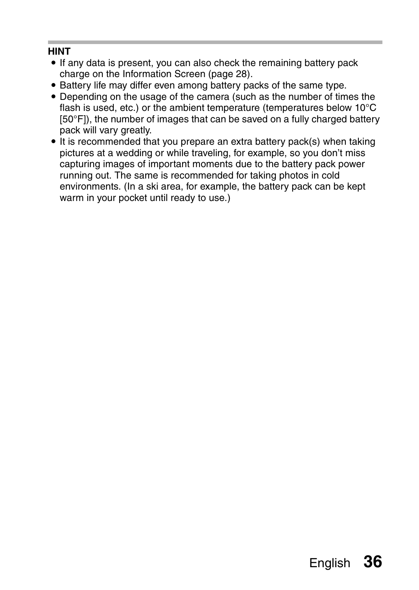#### **HINT**

- If any data is present, you can also check the remaining battery pack charge on the Information Screen (page 28).
- Battery life may differ even among battery packs of the same type.
- Depending on the usage of the camera (such as the number of times the flash is used, etc.) or the ambient temperature (temperatures below 10°C [50°F]), the number of images that can be saved on a fully charged battery pack will vary greatly.
- It is recommended that you prepare an extra battery pack(s) when taking pictures at a wedding or while traveling, for example, so you don't miss capturing images of important moments due to the battery pack power running out. The same is recommended for taking photos in cold environments. (In a ski area, for example, the battery pack can be kept warm in your pocket until ready to use.)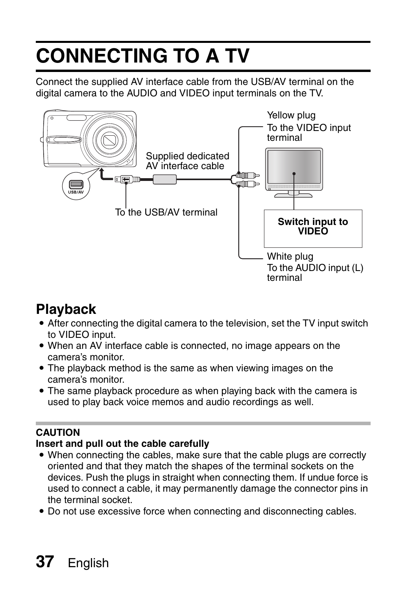# **CONNECTING TO A TV**

Connect the supplied AV interface cable from the USB/AV terminal on the digital camera to the AUDIO and VIDEO input terminals on the TV.



### **Playback**

- After connecting the digital camera to the television, set the TV input switch to VIDEO input.
- $\bullet$  When an AV interface cable is connected, no image appears on the camera's monitor.
- The playback method is the same as when viewing images on the camera's monitor.
- The same playback procedure as when playing back with the camera is used to play back voice memos and audio recordings as well.

#### **CAUTION**

#### **Insert and pull out the cable carefully**

- When connecting the cables, make sure that the cable plugs are correctly oriented and that they match the shapes of the terminal sockets on the devices. Push the plugs in straight when connecting them. If undue force is used to connect a cable, it may permanently damage the connector pins in the terminal socket.
- Do not use excessive force when connecting and disconnecting cables.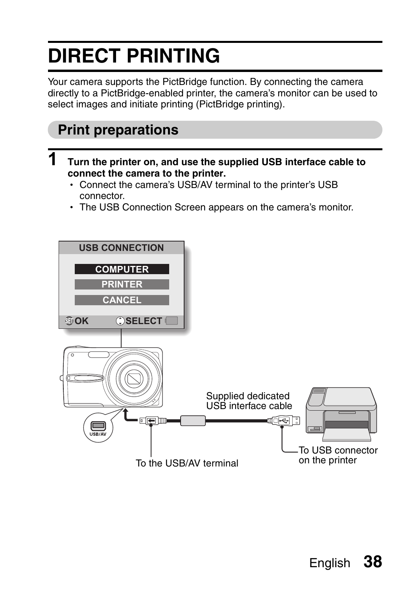## **DIRECT PRINTING**

Your camera supports the PictBridge function. By connecting the camera directly to a PictBridge-enabled printer, the camera's monitor can be used to select images and initiate printing (PictBridge printing).

### **Print preparations**

- **1 Turn the printer on, and use the supplied USB interface cable to connect the camera to the printer.**
	- Connect the camera's USB/AV terminal to the printer's USB connector.
	- The USB Connection Screen appears on the camera's monitor.

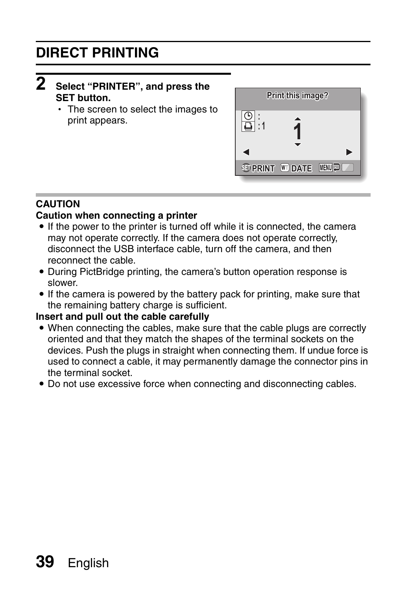#### $\boldsymbol{2}$ **PRINTER", and press the**<br>**Print this image? Print this image? SET button.**

• The screen to select the images to print appears.



#### **CAUTION**

#### **Caution when connecting a printer**

- $\bullet$  If the power to the printer is turned off while it is connected, the camera may not operate correctly. If the camera does not operate correctly, disconnect the USB interface cable, turn off the camera, and then reconnect the cable.
- During PictBridge printing, the camera's button operation response is slower.
- If the camera is powered by the battery pack for printing, make sure that the remaining battery charge is sufficient.

#### **Insert and pull out the cable carefully**

- When connecting the cables, make sure that the cable plugs are correctly oriented and that they match the shapes of the terminal sockets on the devices. Push the plugs in straight when connecting them. If undue force is used to connect a cable, it may permanently damage the connector pins in the terminal socket.
- Do not use excessive force when connecting and disconnecting cables.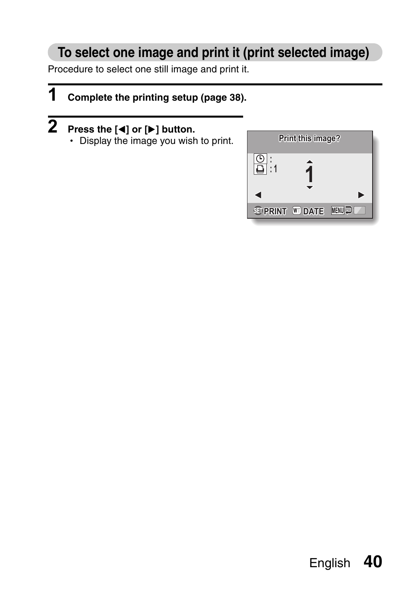### **To select one image and print it (print selected image)**

Procedure to select one still image and print it.

### **1 Complete the printing setup (page 38).**

• Display the image you wish to print.

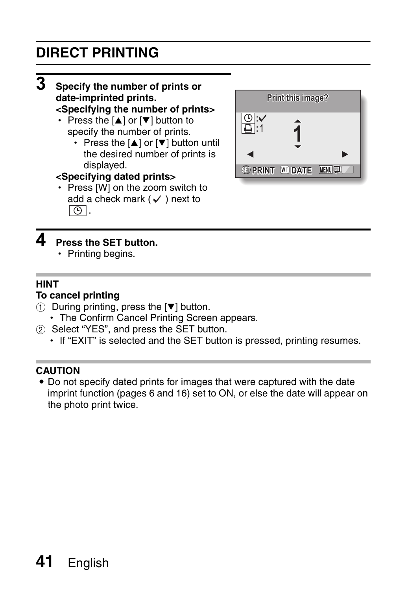### **DIRECT PRINTING**

#### **3 Specify the number of prints or date-imprinted prints.**

- **<Specifying the number of prints>**
- Press the  $[A]$  or  $[\nabla]$  button to specify the number of prints.
	- Press the  $[n]$  or  $[\nabla]$  button until the desired number of prints is displayed.

#### **<Specifying dated prints>**

• Press [W] on the zoom switch to add a check mark  $(\checkmark)$  next to  $\Theta$ .



### **4 Press the SET button.**

• Printing begins.

#### **HINT**

#### **To cancel printing**

- $(1)$  During printing, press the  $[\nabla]$  button.
- The Confirm Cancel Printing Screen appears.
- 2 Select "YES", and press the SET button.
	- If "EXIT" is selected and the SET button is pressed, printing resumes.

#### **CAUTION**

• Do not specify dated prints for images that were captured with the date imprint function (pages 6 and 16) set to ON, or else the date will appear on the photo print twice.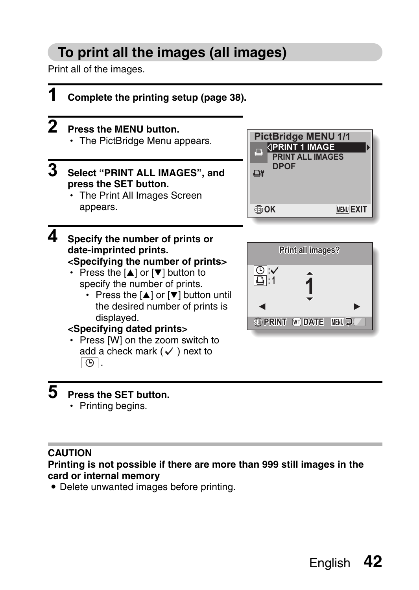### **To print all the images (all images)**

Print all of the images.



### **5 Press the SET button.**

• Printing begins.

#### **CAUTION**

**Printing is not possible if there are more than 999 still images in the card or internal memory**

• Delete unwanted images before printing.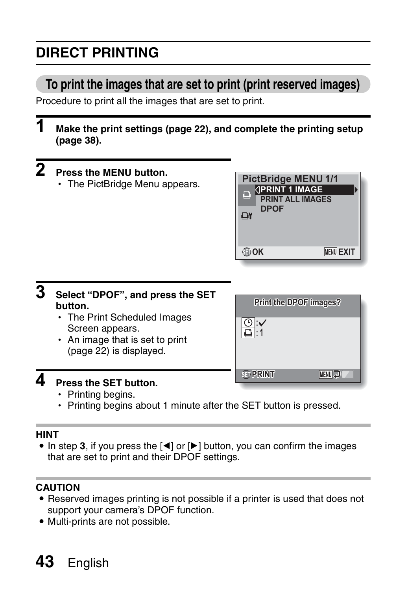## **DIRECT PRINTING**

### **To print the images that are set to print (print reserved images)**

Procedure to print all the images that are set to print.

**1 Make the print settings (page 22), and complete the printing setup (page 38).**

| Press the MENU button.<br>• The PictBridge Menu appears.                    | <b>PictBridge MENU 1/1</b><br><b>PRINT 1 IMAGE</b><br>Ξ<br><b>PRINT ALL IMAGES</b><br><b>DPOF</b><br>Δ۲<br><b>HOK</b><br><b>MENU EXIT</b> |
|-----------------------------------------------------------------------------|-------------------------------------------------------------------------------------------------------------------------------------------|
| Select "DPOF", and press the SET<br>button.<br>• The Print Scheduled Images | Print the DPOF images?<br>$\bigcap_{i=1}$                                                                                                 |

- Screen appears.
- An image that is set to print (page 22) is displayed.

|                 | Print the DPOF images? |
|-----------------|------------------------|
|                 |                        |
|                 |                        |
| <b>GD PRINT</b> | MENU J                 |

### **4 Press the SET button.**

- Printing begins.
- Printing begins about 1 minute after the SET button is pressed.

#### **HINT**

 $\bullet$  In step 3, if you press the  $\lceil \blacktriangleleft \rceil$  or  $\lceil \blacktriangleright \rceil$  button, you can confirm the images that are set to print and their DPOF settings.

#### **CAUTION**

- Reserved images printing is not possible if a printer is used that does not support your camera's DPOF function.
- Multi-prints are not possible.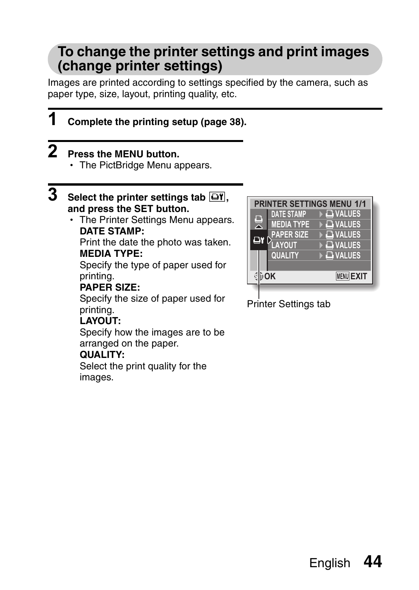### **To change the printer settings and print images (change printer settings)**

Images are printed according to settings specified by the camera, such as paper type, size, layout, printing quality, etc.

**1 Complete the printing setup (page 38).**

### **2 Press the MENU button.**

• The PictBridge Menu appears.

#### **3**  Select the printer settings tab  $\boxed{\rightarrow}$ **r**, **and press the SET button.**

• The Printer Settings Menu appears. **DATE STAMP:**

Print the date the photo was taken. **MEDIA TYPE:**

Specify the type of paper used for printing.

#### **PAPER SIZE:**

Specify the size of paper used for printing.

#### **LAYOUT:**

Specify how the images are to be arranged on the paper.

#### **QUALITY:**

Select the print quality for the images.



Printer Settings tab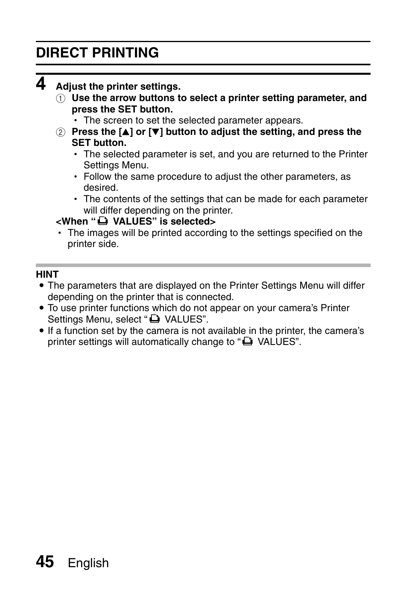### **DIRECT PRINTING**

### **4 Adjust the printer settings.**

- 1 **Use the arrow buttons to select a printer setting parameter, and press the SET button.**
	- The screen to set the selected parameter appears.
- **2 Press the [A] or [** $\blacktriangledown$ **] button to adjust the setting, and press the SET button.**
	- The selected parameter is set, and you are returned to the Printer Settings Menu.
	- Follow the same procedure to adjust the other parameters, as desired.
	- The contents of the settings that can be made for each parameter will differ depending on the printer.

#### <When "<sup>
■</sup>
VALUES" is selected>

 $\cdot$  The images will be printed according to the settings specified on the printer side.

#### **HINT**

- The parameters that are displayed on the Printer Settings Menu will differ depending on the printer that is connected.
- $\bullet$  To use printer functions which do not appear on your camera's Printer Settings Menu, select "La VALUES".
- If a function set by the camera is not available in the printer, the camera's printer settings will automatically change to " $\Box$  VALUES".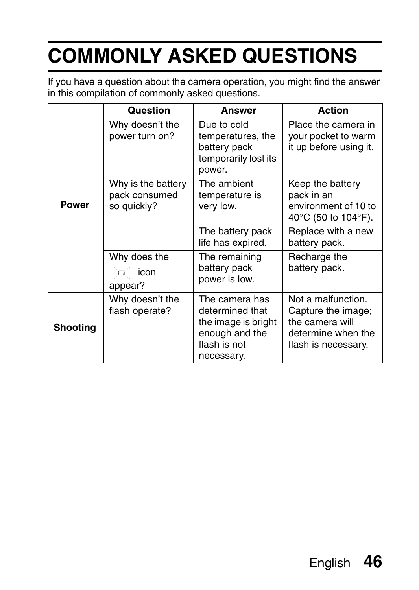If you have a question about the camera operation, you might find the answer in this compilation of commonly asked questions.

|          | Question                                           | Answer                                                                                                   | <b>Action</b>                                                                                            |
|----------|----------------------------------------------------|----------------------------------------------------------------------------------------------------------|----------------------------------------------------------------------------------------------------------|
|          | Why doesn't the<br>power turn on?                  | Due to cold<br>temperatures, the<br>battery pack<br>temporarily lost its<br>power.                       | Place the camera in<br>your pocket to warm<br>it up before using it.                                     |
| Power    | Why is the battery<br>pack consumed<br>so quickly? | The ambient<br>temperature is<br>very low.                                                               | Keep the battery<br>pack in an<br>environment of 10 to<br>40°C (50 to 104°F).                            |
|          |                                                    | The battery pack<br>life has expired.                                                                    | Replace with a new<br>battery pack.                                                                      |
|          | Why does the<br>$-\Box -$ icon<br>appear?          | The remaining<br>battery pack<br>power is low.                                                           | Recharge the<br>battery pack.                                                                            |
| Shooting | Why doesn't the<br>flash operate?                  | The camera has<br>determined that<br>the image is bright<br>enough and the<br>flash is not<br>necessary. | Not a malfunction.<br>Capture the image;<br>the camera will<br>determine when the<br>flash is necessary. |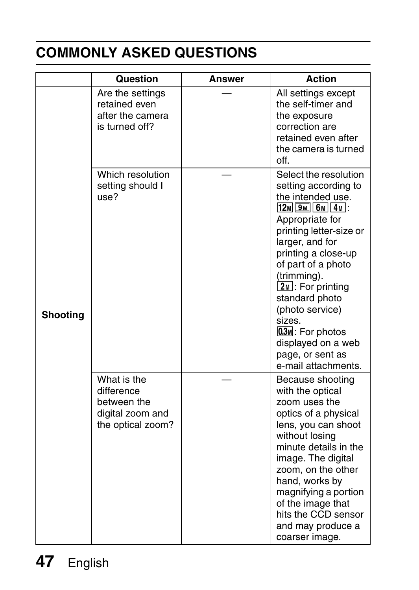|          | Question                                                                          | Answer | <b>Action</b>                                                                                                                                                                                                                                                                                                                                                                       |
|----------|-----------------------------------------------------------------------------------|--------|-------------------------------------------------------------------------------------------------------------------------------------------------------------------------------------------------------------------------------------------------------------------------------------------------------------------------------------------------------------------------------------|
|          | Are the settings<br>retained even<br>after the camera<br>is turned off?           |        | All settings except<br>the self-timer and<br>the exposure<br>correction are<br>retained even after<br>the camera is turned<br>off.                                                                                                                                                                                                                                                  |
| Shooting | Which resolution<br>setting should I<br>use?                                      |        | Select the resolution<br>setting according to<br>the intended use.<br>$12M$ $9M$ 6M 4M :<br>Appropriate for<br>printing letter-size or<br>larger, and for<br>printing a close-up<br>of part of a photo<br>(trimming).<br>$2M$ : For printing<br>standard photo<br>(photo service)<br>sizes.<br>$0.3M$ : For photos<br>displayed on a web<br>page, or sent as<br>e-mail attachments. |
|          | What is the<br>difference<br>between the<br>digital zoom and<br>the optical zoom? |        | Because shooting<br>with the optical<br>zoom uses the<br>optics of a physical<br>lens, you can shoot<br>without losing<br>minute details in the<br>image. The digital<br>zoom, on the other<br>hand, works by<br>magnifying a portion<br>of the image that<br>hits the CCD sensor<br>and may produce a<br>coarser image.                                                            |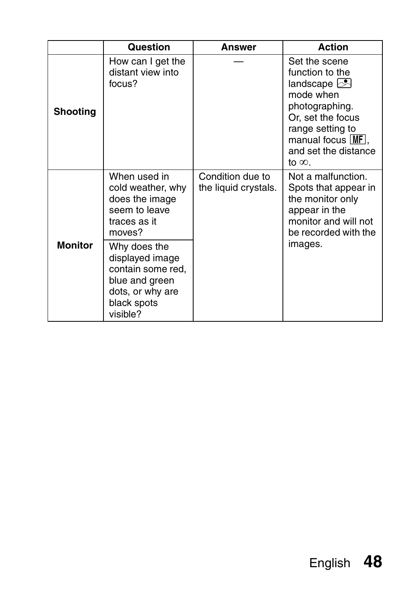|                 | Question                                                                                                              | Answer                                   | <b>Action</b>                                                                                                                                                                                                 |
|-----------------|-----------------------------------------------------------------------------------------------------------------------|------------------------------------------|---------------------------------------------------------------------------------------------------------------------------------------------------------------------------------------------------------------|
| <b>Shooting</b> | How can I get the<br>distant view into<br>focus?                                                                      |                                          | Set the scene<br>function to the<br>landscape $\triangleright$<br>mode when<br>photographing.<br>Or, set the focus<br>range setting to<br>manual focus $\text{MF}$ .<br>and set the distance<br>to $\infty$ . |
| <b>Monitor</b>  | When used in<br>cold weather, why<br>does the image<br>seem to leave<br>traces as it<br>moves?                        | Condition due to<br>the liquid crystals. | Not a malfunction.<br>Spots that appear in<br>the monitor only<br>appear in the<br>monitor and will not<br>be recorded with the<br>images.                                                                    |
|                 | Why does the<br>displayed image<br>contain some red,<br>blue and green<br>dots, or why are<br>black spots<br>visible? |                                          |                                                                                                                                                                                                               |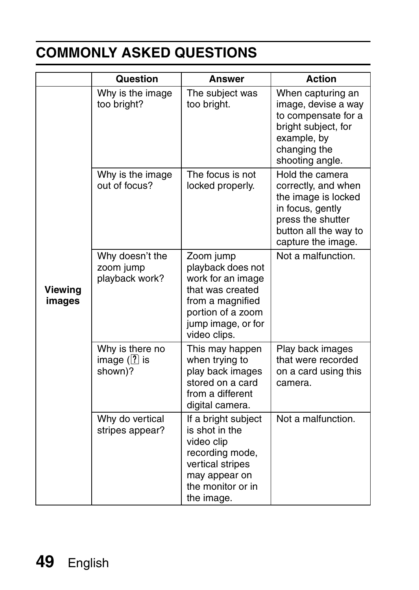|                   | <b>Question</b>                                | Answer                                                                                                                                                 | <b>Action</b>                                                                                                                                         |
|-------------------|------------------------------------------------|--------------------------------------------------------------------------------------------------------------------------------------------------------|-------------------------------------------------------------------------------------------------------------------------------------------------------|
| Viewing<br>images | Why is the image<br>too bright?                | The subject was<br>too bright.                                                                                                                         | When capturing an<br>image, devise a way<br>to compensate for a<br>bright subject, for<br>example, by<br>changing the<br>shooting angle.              |
|                   | Why is the image<br>out of focus?              | The focus is not<br>locked properly.                                                                                                                   | Hold the camera<br>correctly, and when<br>the image is locked<br>in focus, gently<br>press the shutter<br>button all the way to<br>capture the image. |
|                   | Why doesn't the<br>zoom jump<br>playback work? | Zoom jump<br>playback does not<br>work for an image<br>that was created<br>from a magnified<br>portion of a zoom<br>jump image, or for<br>video clips. | Not a malfunction.                                                                                                                                    |
|                   | Why is there no<br>image $($ ? is<br>shown)?   | This may happen<br>when trying to<br>play back images<br>stored on a card<br>from a different<br>digital camera.                                       | Play back images<br>that were recorded<br>on a card using this<br>camera.                                                                             |
|                   | Why do vertical<br>stripes appear?             | If a bright subject<br>is shot in the<br>video clip<br>recording mode,<br>vertical stripes<br>may appear on<br>the monitor or in<br>the image.         | Not a malfunction.                                                                                                                                    |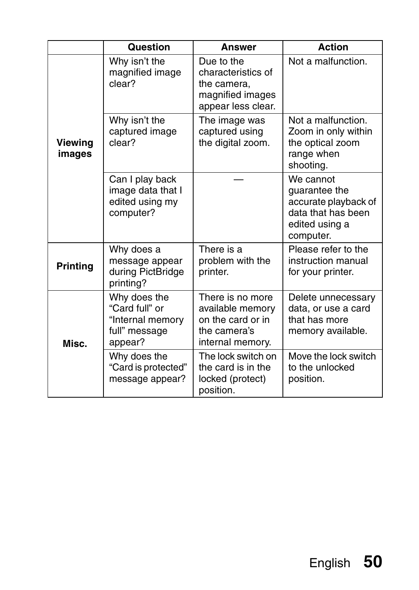|                   | Question                                                                       | <b>Answer</b>                                                                                 | Action                                                                                                  |
|-------------------|--------------------------------------------------------------------------------|-----------------------------------------------------------------------------------------------|---------------------------------------------------------------------------------------------------------|
|                   | Why isn't the<br>magnified image<br>clear?                                     | Due to the<br>characteristics of<br>the camera,<br>magnified images<br>appear less clear.     | Not a malfunction.                                                                                      |
| Viewing<br>images | Why isn't the<br>captured image<br>clear?                                      | The image was<br>captured using<br>the digital zoom.                                          | Not a malfunction.<br>Zoom in only within<br>the optical zoom<br>range when<br>shooting.                |
|                   | Can I play back<br>image data that I<br>edited using my<br>computer?           |                                                                                               | We cannot<br>quarantee the<br>accurate playback of<br>data that has been<br>edited using a<br>computer. |
| <b>Printing</b>   | Why does a<br>message appear<br>during PictBridge<br>printing?                 | There is a<br>problem with the<br>printer.                                                    | Please refer to the<br>instruction manual<br>for your printer.                                          |
| Misc.             | Why does the<br>"Card full" or<br>"Internal memory<br>full" message<br>appear? | There is no more<br>available memory<br>on the card or in<br>the camera's<br>internal memory. | Delete unnecessary<br>data, or use a card<br>that has more<br>memory available.                         |
|                   | Why does the<br>"Card is protected"<br>message appear?                         | The lock switch on<br>the card is in the<br>locked (protect)<br>position.                     | Move the lock switch<br>to the unlocked<br>position.                                                    |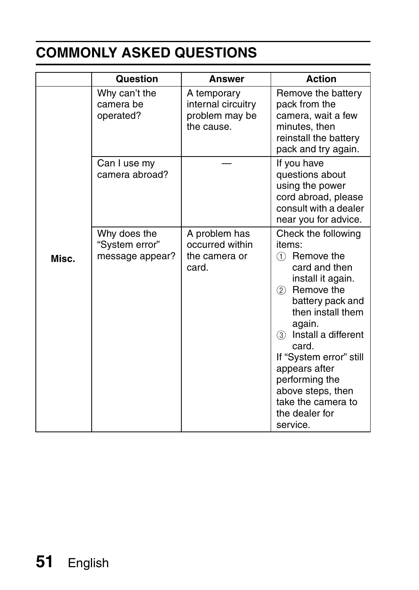|       | Question                                          | Answer                                                            | <b>Action</b>                                                                                                                                                                                                                                                                                                                                |
|-------|---------------------------------------------------|-------------------------------------------------------------------|----------------------------------------------------------------------------------------------------------------------------------------------------------------------------------------------------------------------------------------------------------------------------------------------------------------------------------------------|
|       | Why can't the<br>camera be<br>operated?           | A temporary<br>internal circuitry<br>problem may be<br>the cause. | Remove the battery<br>pack from the<br>camera, wait a few<br>minutes, then<br>reinstall the battery<br>pack and try again.                                                                                                                                                                                                                   |
|       | Can I use my<br>camera abroad?                    |                                                                   | If you have<br>questions about<br>using the power<br>cord abroad, please<br>consult with a dealer<br>near you for advice.                                                                                                                                                                                                                    |
| Misc. | Why does the<br>"System error"<br>message appear? | A problem has<br>occurred within<br>the camera or<br>card.        | Check the following<br>items.<br>Remove the<br>(1)<br>card and then<br>install it again.<br>(2)<br>Remove the<br>battery pack and<br>then install them<br>again.<br>Install a different<br>3<br>card.<br>If "System error" still<br>appears after<br>performing the<br>above steps, then<br>take the camera to<br>the dealer for<br>service. |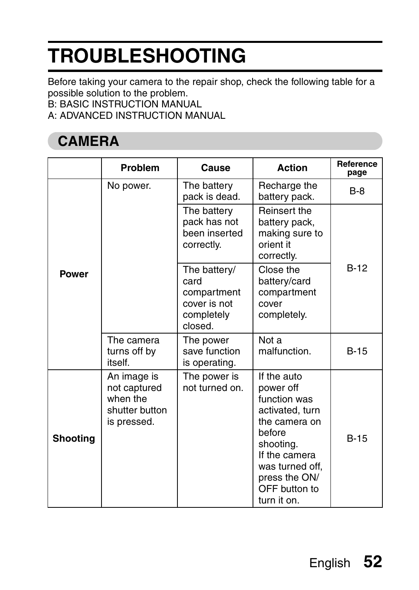Before taking your camera to the repair shop, check the following table for a possible solution to the problem.

B: BASIC INSTRUCTION MANUAL

A: ADVANCED INSTRUCTION MANUAL

### **CAMERA**

|                 | Problem                                                                  | Cause                                                                        | Action                                                                                                                                                                                   | Reference<br>page |
|-----------------|--------------------------------------------------------------------------|------------------------------------------------------------------------------|------------------------------------------------------------------------------------------------------------------------------------------------------------------------------------------|-------------------|
|                 | No power.                                                                | The battery<br>pack is dead.                                                 | Recharge the<br>battery pack.                                                                                                                                                            | $B-8$             |
| Power           |                                                                          | The battery<br>pack has not<br>been inserted<br>correctly.                   | Reinsert the<br>battery pack,<br>making sure to<br>orient it<br>correctly.                                                                                                               |                   |
|                 |                                                                          | The battery/<br>card<br>compartment<br>cover is not<br>completely<br>closed. | Close the<br>battery/card<br>compartment<br>cover<br>completely.                                                                                                                         | <b>B-12</b>       |
|                 | The camera<br>turns off by<br>itself.                                    | The power<br>save function<br>is operating.                                  | Not a<br>malfunction.                                                                                                                                                                    | $B-15$            |
| <b>Shooting</b> | An image is<br>not captured<br>when the<br>shutter button<br>is pressed. | The power is<br>not turned on.                                               | If the auto<br>power off<br>function was<br>activated, turn<br>the camera on<br>before<br>shooting.<br>If the camera<br>was turned off,<br>press the ON/<br>OFF button to<br>turn it on. | $B-15$            |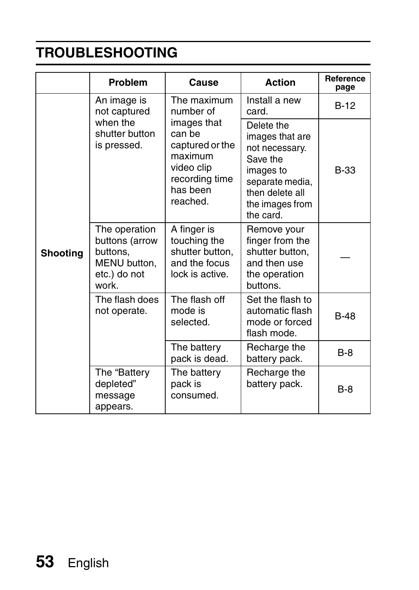|                                                                                                                                                                                | Problem                                          | Cause                                                                                                       | Action                                                                                                                                         | Reference<br>page |
|--------------------------------------------------------------------------------------------------------------------------------------------------------------------------------|--------------------------------------------------|-------------------------------------------------------------------------------------------------------------|------------------------------------------------------------------------------------------------------------------------------------------------|-------------------|
|                                                                                                                                                                                | An image is<br>not captured                      | The maximum<br>number of                                                                                    | Install a new<br>card.                                                                                                                         | $B-12$            |
| when the<br>shutter button<br>is pressed.<br>The operation<br>buttons (arrow<br>buttons.<br>Shooting<br>MENU button,<br>etc.) do not<br>work<br>The flash does<br>not operate. |                                                  | images that<br>can be<br>captured or the<br>maximum<br>video clip<br>recording time<br>has been<br>reached. | Delete the<br>images that are<br>not necessary.<br>Save the<br>images to<br>separate media,<br>then delete all<br>the images from<br>the card. | B-33              |
|                                                                                                                                                                                |                                                  | A finger is<br>touching the<br>shutter button,<br>and the focus<br>lock is active.                          | Remove your<br>finger from the<br>shutter button,<br>and then use<br>the operation<br>buttons.                                                 |                   |
|                                                                                                                                                                                | The flash off<br>mode is<br>selected.            | Set the flash to<br>automatic flash<br>mode or forced<br>flash mode.                                        | <b>B-48</b>                                                                                                                                    |                   |
|                                                                                                                                                                                |                                                  | The battery<br>pack is dead.                                                                                | Recharge the<br>battery pack.                                                                                                                  | $B-8$             |
|                                                                                                                                                                                | The "Battery<br>depleted"<br>message<br>appears. | The battery<br>pack is<br>consumed.                                                                         | Recharge the<br>battery pack.                                                                                                                  | $B-8$             |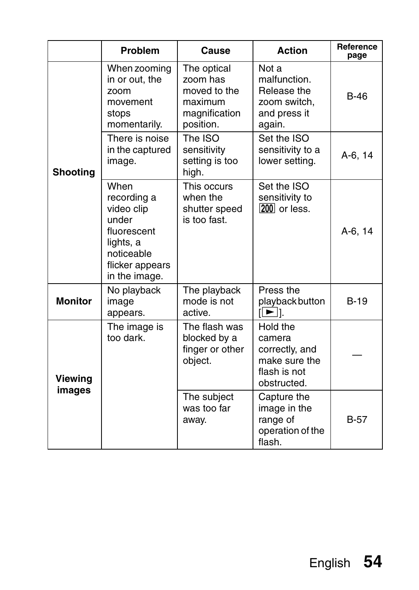|                 | Problem                                                                                                                  | Cause                                                                            | Action                                                                               | Reference<br>page |
|-----------------|--------------------------------------------------------------------------------------------------------------------------|----------------------------------------------------------------------------------|--------------------------------------------------------------------------------------|-------------------|
|                 | When zooming<br>in or out, the<br>zoom<br>movement<br>stops<br>momentarily.                                              | The optical<br>zoom has<br>moved to the<br>maximum<br>magnification<br>position. | Not a<br>malfunction.<br>Release the<br>zoom switch.<br>and press it<br>again.       | $B-46$            |
| <b>Shooting</b> | There is noise<br>in the captured<br>image.                                                                              | The ISO<br>sensitivity<br>setting is too<br>high.                                | Set the ISO<br>sensitivity to a<br>lower setting.                                    | A-6, 14           |
|                 | When<br>recording a<br>video clip<br>under<br>fluorescent<br>lights, a<br>noticeable<br>flicker appears<br>in the image. | This occurs<br>when the<br>shutter speed<br>is too fast.                         | Set the ISO<br>sensitivity to<br>200 or less.                                        | A-6, 14           |
| <b>Monitor</b>  | No playback<br>image<br>appears.                                                                                         | The playback<br>mode is not<br>active.                                           | Press the<br>playback button<br>1 I → I                                              | $B-19$            |
| Viewing         | The image is<br>too dark.                                                                                                | The flash was<br>blocked by a<br>finger or other<br>object.                      | Hold the<br>camera<br>correctly, and<br>make sure the<br>flash is not<br>obstructed. |                   |
| images          |                                                                                                                          | The subject<br>was too far<br>away.                                              | Capture the<br>image in the<br>range of<br>operation of the<br>flash                 | $B-57$            |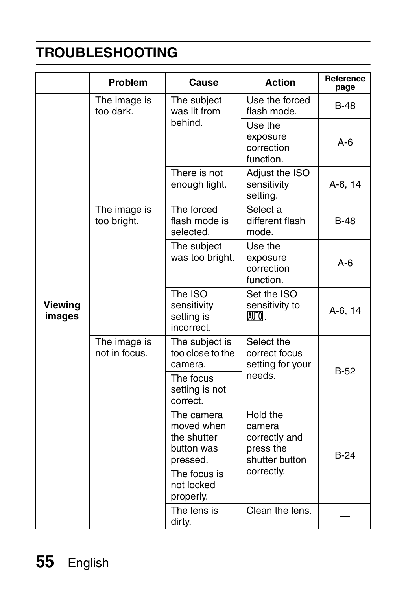|                          | Problem                       | Cause                                                             | <b>Action</b>                                                      | Reference<br>page |
|--------------------------|-------------------------------|-------------------------------------------------------------------|--------------------------------------------------------------------|-------------------|
|                          | The image is<br>too dark.     | The subject<br>was lit from                                       | Use the forced<br>flash mode.                                      | B-48              |
|                          |                               | behind.                                                           | Use the<br>exposure<br>correction<br>function                      | $A-6$             |
| <b>Viewing</b><br>images |                               | There is not<br>enough light.                                     | Adjust the ISO<br>sensitivity<br>setting.                          | A-6, 14           |
|                          | The image is<br>too bright.   | The forced<br>flash mode is<br>selected.                          | Select a<br>different flash<br>mode.                               | <b>B-48</b>       |
|                          |                               | The subject<br>was too bright.                                    | Use the<br>exposure<br>correction<br>function.                     | $A-6$             |
|                          |                               | The ISO<br>sensitivity<br>setting is<br>incorrect.                | Set the ISO<br>sensitivity to<br>AUTOL.                            | A-6, 14           |
|                          | The image is<br>not in focus. | The subject is<br>too close to the<br>camera.                     | Select the<br>correct focus<br>setting for your<br>needs.          | $B-52$            |
|                          |                               | The focus<br>setting is not<br>correct.                           |                                                                    |                   |
|                          |                               | The camera<br>moved when<br>the shutter<br>button was<br>pressed. | Hold the<br>camera<br>correctly and<br>press the<br>shutter button | <b>B-24</b>       |
|                          |                               | The focus is<br>not locked<br>properly.                           | correctly.                                                         |                   |
|                          |                               | The lens is<br>dirty.                                             | Clean the lens.                                                    |                   |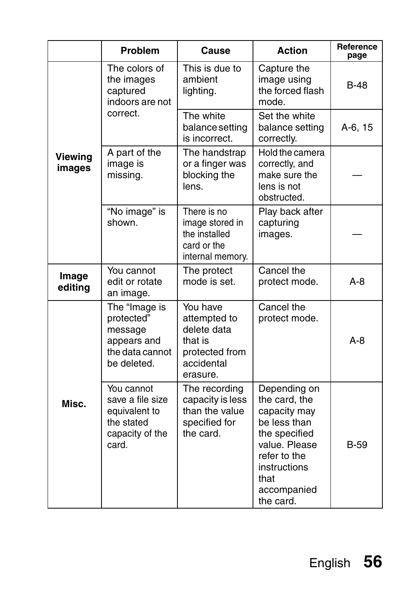|                   | Problem                                                                                   | Cause                                                                                          | <b>Action</b>                                                                                                                                                       | Reference<br>page |
|-------------------|-------------------------------------------------------------------------------------------|------------------------------------------------------------------------------------------------|---------------------------------------------------------------------------------------------------------------------------------------------------------------------|-------------------|
|                   | The colors of<br>the images<br>captured<br>indoors are not                                | This is due to<br>ambient<br>lighting.                                                         | Capture the<br>image using<br>the forced flash<br>mode                                                                                                              | B-48              |
|                   | correct.                                                                                  | The white<br>balance setting<br>is incorrect.                                                  | Set the white<br>balance setting<br>correctly.                                                                                                                      | A-6, 15           |
| Viewing<br>images | A part of the<br>image is<br>missing.                                                     | The handstrap<br>or a finger was<br>blocking the<br>lens.                                      | Hold the camera<br>correctly, and<br>make sure the<br>lens is not<br>obstructed.                                                                                    |                   |
|                   | "No image" is<br>shown                                                                    | There is no<br>image stored in<br>the installed<br>card or the<br>internal memory.             | Play back after<br>capturing<br>images.                                                                                                                             |                   |
| Image<br>editing  | You cannot<br>edit or rotate<br>an image.                                                 | The protect<br>mode is set.                                                                    | Cancel the<br>protect mode.                                                                                                                                         | $A - 8$           |
|                   | The "Image is<br>protected"<br>message<br>appears and<br>the data cannot<br>be deleted.   | You have<br>attempted to<br>delete data<br>that is<br>protected from<br>accidental<br>erasure. | Cancel the<br>protect mode.                                                                                                                                         | A-8               |
| Misc.             | You cannot<br>save a file size<br>equivalent to<br>the stated<br>capacity of the<br>card. | The recording<br>capacity is less<br>than the value<br>specified for<br>the card.              | Depending on<br>the card, the<br>capacity may<br>be less than<br>the specified<br>value. Please<br>refer to the<br>instructions<br>that<br>accompanied<br>the card. | <b>B-59</b>       |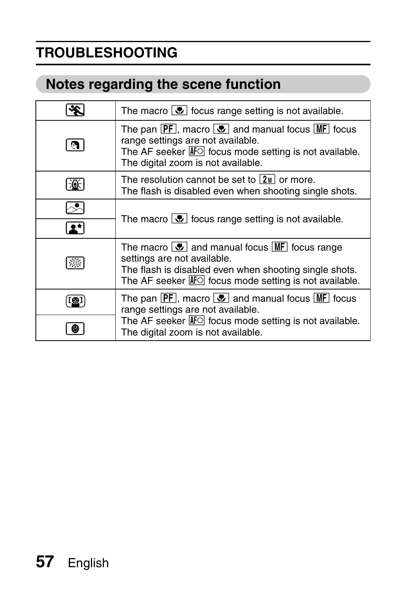### **Notes regarding the scene function**

|    | The macro $\boxed{\bullet}$ focus range setting is not available.                                                                                                                                                                                   |
|----|-----------------------------------------------------------------------------------------------------------------------------------------------------------------------------------------------------------------------------------------------------|
|    | The pan $\overline{PF}$ , macro $\overline{\bullet}$ and manual focus $\overline{\text{MF}}$ focus<br>range settings are not available.<br>The AF seeker $\overline{AF}$ focus mode setting is not available.<br>The digital zoom is not available. |
|    | The resolution cannot be set to $ 2w $ or more.<br>The flash is disabled even when shooting single shots.                                                                                                                                           |
|    | The macro $\boxed{\bullet}$ focus range setting is not available.                                                                                                                                                                                   |
|    | The macro $ \mathbf{P} $ and manual focus $ \mathbf{MF} $ focus range<br>settings are not available.<br>The flash is disabled even when shooting single shots.<br>The AF seeker $ A \cap C $ focus mode setting is not available.                   |
| .0 | The pan $[PF]$ , macro $\frac{1}{\sqrt{2}}$ and manual focus $[MF]$ focus<br>range settings are not available.<br>The AF seeker $\overline{AF}$ focus mode setting is not available.<br>The digital zoom is not available.                          |
|    |                                                                                                                                                                                                                                                     |